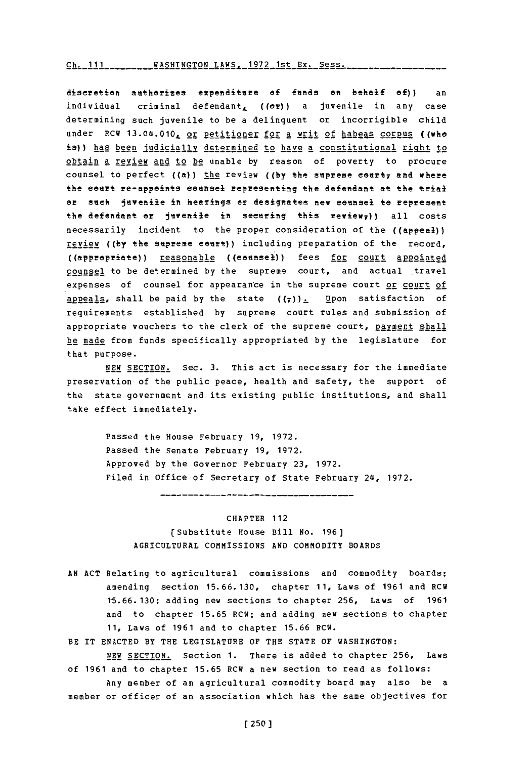## $Ch. 111$  \_\_\_\_\_\_\_\_WASHINGTON LAWS. 1972 1st Ex. Sess.

discretion authorizes expenditure of funds on behalf of)) an individual criminal defendant,  $( (or) )$  a juvenile in any case determining such juvenile to be a delinquent or incorrigible child under RCW 13.04.010, <u>or petitioner for a writ of habeas corpus</u> ((who is)) has been judicially determined to have a constitutional right to obtain a review and to be unable **by** reason of poverty to procure counsel to perfect ((a)) the review ((by the supreme court; and where the court re-appoints counsel representing the defendant at the trial or sick juvenile in hearings or designates new counsel to represent the defendant er juvenile in seeering this **reviewf))** all costs necessarily incident to the proper consideration of the ((appeal)) review ((by the supreme court)) including preparation of the record, ((apprepriate)) reasonable ((ceunsel)) fees for court appointed counsel to be determined **by** the supreme court, and actual travel expenses of counsel for appearance in the supreme court or court of appeals, shall be paid by the state  $(\tau)$ ). Upon satisfaction of reguirements established **by** supreme court rules and submission of appropriate vouchers to the clerk of the supreme court, payment shall be made from funds specifically appropriated **by** the legislature for that purpose.

**NEW** SECTION. Sec. **3.** This act is necessary for the immediate preservation of the public peace, health and safety, the support of the state government and its existing public institutions, and shall take effect immediately.

> Passed the House February **19, 1972.** Passed the Senate February **19, 1972.** Approved **by** the Governor February **23, 1972.** Filed in office of Secretary of State February 24, **1972.**

## CHAPTER 112

(Substitute House Bill No. **196) AGRICULTURAL** COMMISSIONS **AND** COMMODITY BOARDS

**AN ACT** Relating to agricultural commissions and commodity boards; amending section **15.66.130,** chapter **11,** Laws of **1961** and RCW **1-5.66.130;** adding new sections to chapter **256,** Laws of **1961** and to chapter **15.65** RCW; and adding new sections to chapter **11,** Laws of **1961** and to chapter **15.66** RCW.

BE IT **ENACTED** BY THE **LEGISLATURE** OF THE **STATE** OF WASHINGTON:

**NEW** SECTION. Section **1.** There is added to chapter **256,** Laws of **1961** and to chapter **15.65** RCW a new section to read as follows: Any member of an agricultural commodity board may also be a

member or officer of an association which has the same objectives for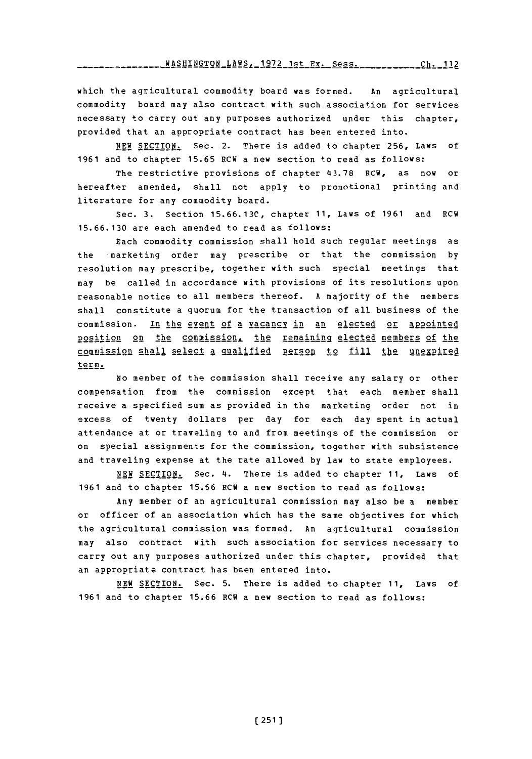**WASHINGTON\_LAWS, 1972 1st Ex. Sess. Ch. 11** 

which the agricultural commodity board was formed. An agricultural commodity board may also contract with such association for services necessary to carry out any purposes authorized upder this chapter, provided that an appropriate contract has been entered into.

**NEW** SECTION. Sec. 2. There is added to chapter **256,** Laws of **1961** and to chapter **15.65** HCW a new section to read as follows:

The restrictive provisions of chapter **43.78** RCW, as now or hereafter amended, shall not apply to promotional printing and literature for any commodity board.

Sec. **3.** Section **15.66.13C,** chapter **11,** Laws of **1961** and RCW **15. 66.130** are each amended to read as follows:

Each commodity commission shall hold such regular meetings as the -marketing order may prescribe or that the commission **by** resolution may prescribe, together with such special meetings that may be called in accordance with provisions of its resolutions upon reasonable notice to all members thereof. **A** majority of the members shall constitute a quorum for the transaction of all business of the commission. In the event of a vacancy in an elected or appointed position on the commission, the remaining elected members of the commission shall select a qualified person to fill the unexpired term.

No member of the commission shall receive any salary or other compensation from the commission except that each member shall receive a specified sum as provided in the marketing order not in excess of twenty dollars per day for each day spent in actual attendance at or traveling to and from meetings of the commission or on special assignments for the commission, together with subsistence and traveling expense at the rate allowed **by** law to state employees.

**NEW** SECTION. Sec. 4. There is added to chapter **11,** Laws of **1961** and to chapter **15.66** RCW a new section to read as follows:

Any member of an agricultural commission may also be a member or officer of an association which has the same objectives for which the agricultural commission was formed. An agricultural commission may also contract with such association for services necessary to carry out any purposes authorized under this chapter, provided that an appropriate contract has been entered into.

**NEW SECTION.** Sec. **5.** There is added to chapter **11,** Laws of **1961** and to chapter **15.66** RCW a new section to read as follows: